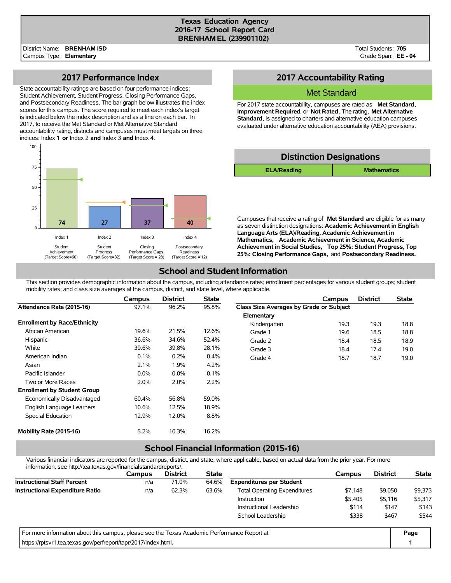#### **Texas Education Agency 2016-17 School Report Card BRENHAM EL (239901102)**

Total Students: **705** Grade Span: **EE - 04**

### **2017 Performance Index**

State accountability ratings are based on four performance indices: Student Achievement, Student Progress, Closing Performance Gaps, and Postsecondary Readiness. The bar graph below illustrates the index scores for this campus. The score required to meet each index's target is indicated below the index description and as a line on each bar. In 2017, to receive the Met Standard or Met Alternative Standard accountability rating, districts and campuses must meet targets on three indices: Index 1 **or** Index 2 **and** Index 3 **and** Index 4.



## **2017 Accountability Rating**

### Met Standard

For 2017 state accountability, campuses are rated as **Met Standard**, **Improvement Required**, or **Not Rated**. The rating, **Met Alternative Standard**, is assigned to charters and alternative education campuses evaluated under alternative education accountability (AEA) provisions.

| <b>Distinction Designations</b> |                    |  |  |  |  |  |  |  |
|---------------------------------|--------------------|--|--|--|--|--|--|--|
| <b>ELA/Reading</b>              | <b>Mathematics</b> |  |  |  |  |  |  |  |
|                                 |                    |  |  |  |  |  |  |  |

Campuses that receive a rating of **Met Standard** are eligible for as many as seven distinction designations: **Academic Achievement in English Language Arts (ELA)/Reading, Academic Achievement in Mathematics, Academic Achievement in Science, Academic Achievement in Social Studies, Top 25%: Student Progress, Top 25%: Closing Performance Gaps,** and **Postsecondary Readiness.**

## **School and Student Information**

This section provides demographic information about the campus, including attendance rates; enrollment percentages for various student groups; student mobility rates; and class size averages at the campus, district, and state level, where applicable.

|                                     | Campus  | <b>District</b> | <b>State</b> |                                         | Campus | <b>District</b> | <b>State</b> |
|-------------------------------------|---------|-----------------|--------------|-----------------------------------------|--------|-----------------|--------------|
| Attendance Rate (2015-16)           | 97.1%   | 96.2%           | 95.8%        | Class Size Averages by Grade or Subject |        |                 |              |
|                                     |         |                 |              | Elementary                              |        |                 |              |
| <b>Enrollment by Race/Ethnicity</b> |         |                 |              | Kindergarten                            | 19.3   | 19.3            | 18.8         |
| African American                    | 19.6%   | 21.5%           | 12.6%        | Grade 1                                 | 19.6   | 18.5            | 18.8         |
| Hispanic                            | 36.6%   | 34.6%           | 52.4%        | Grade 2                                 | 18.4   | 18.5            | 18.9         |
| White                               | 39.6%   | 39.8%           | 28.1%        | Grade 3                                 | 18.4   | 17.4            | 19.0         |
| American Indian                     | 0.1%    | 0.2%            | 0.4%         | Grade 4                                 | 18.7   | 18.7            | 19.0         |
| Asian                               | 2.1%    | 1.9%            | 4.2%         |                                         |        |                 |              |
| Pacific Islander                    | $0.0\%$ | 0.0%            | 0.1%         |                                         |        |                 |              |
| Two or More Races                   | 2.0%    | 2.0%            | 2.2%         |                                         |        |                 |              |
| <b>Enrollment by Student Group</b>  |         |                 |              |                                         |        |                 |              |
| Economically Disadvantaged          | 60.4%   | 56.8%           | 59.0%        |                                         |        |                 |              |
| English Language Learners           | 10.6%   | 12.5%           | 18.9%        |                                         |        |                 |              |
| Special Education                   | 12.9%   | 12.0%           | 8.8%         |                                         |        |                 |              |
| Mobility Rate (2015-16)             | 5.2%    | 10.3%           | 16.2%        |                                         |        |                 |              |

# **School Financial Information (2015-16)**

Various financial indicators are reported for the campus, district, and state, where applicable, based on actual data from the prior year. For more information, see http://tea.texas.gov/financialstandardreports/.

| illiofitiation, see http://tea.texas.gov/illialicialstandardieports/.                       |               |                                                                  |              |                                 |         |                 |              |
|---------------------------------------------------------------------------------------------|---------------|------------------------------------------------------------------|--------------|---------------------------------|---------|-----------------|--------------|
|                                                                                             | <b>Campus</b> | <b>District</b>                                                  | <b>State</b> |                                 | Campus  | <b>District</b> | <b>State</b> |
| <b>Instructional Staff Percent</b>                                                          | n/a           | 71.0%                                                            | 64.6%        | <b>Expenditures per Student</b> |         |                 |              |
| <b>Instructional Expenditure Ratio</b>                                                      | n/a           | 62.3%<br>\$7.148<br>63.6%<br><b>Total Operating Expenditures</b> |              |                                 |         |                 | \$9,373      |
|                                                                                             |               |                                                                  |              | <b>Instruction</b>              | \$5,405 | \$5,116         | \$5,317      |
|                                                                                             |               |                                                                  |              | Instructional Leadership        | \$114   | \$147           | \$143        |
|                                                                                             |               |                                                                  |              | School Leadership               | \$338   | \$467           | \$544        |
| For more information about this campus, please see the Texas Academic Performance Report at |               |                                                                  |              |                                 |         |                 | Page         |
| https://rptsvr1.tea.texas.gov/perfreport/tapr/2017/index.html.                              |               |                                                                  |              |                                 |         |                 |              |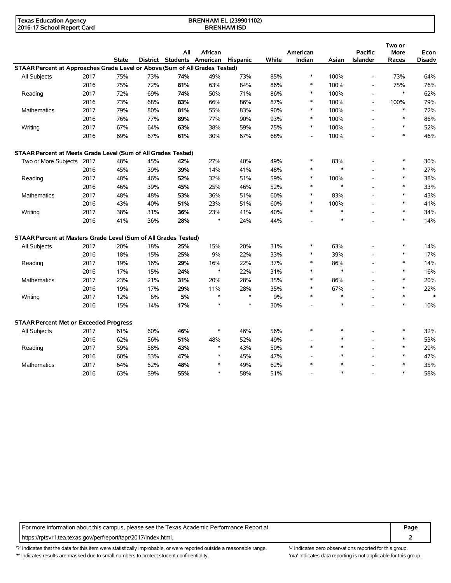| Texas Education Agency     | <b>BRENHAM EL (239901102)</b> |  |
|----------------------------|-------------------------------|--|
| 2016-17 School Report Card | <b>BRENHAM ISD</b>            |  |

|                                                                             |      |              |     | All                        | African |          |       | American       |        | <b>Pacific</b>           | Two or<br><b>More</b> | Econ          |
|-----------------------------------------------------------------------------|------|--------------|-----|----------------------------|---------|----------|-------|----------------|--------|--------------------------|-----------------------|---------------|
|                                                                             |      | <b>State</b> |     | District Students American |         | Hispanic | White | Indian         | Asian  | <b>Islander</b>          | Races                 | <b>Disadv</b> |
| STAAR Percent at Approaches Grade Level or Above (Sum of All Grades Tested) |      |              |     |                            |         |          |       |                |        |                          |                       |               |
| All Subjects                                                                | 2017 | 75%          | 73% | 74%                        | 49%     | 73%      | 85%   | $\ast$         | 100%   | $\overline{\phantom{a}}$ | 73%                   | 64%           |
|                                                                             | 2016 | 75%          | 72% | 81%                        | 63%     | 84%      | 86%   | $\ast$         | 100%   | $\overline{a}$           | 75%                   | 76%           |
| Reading                                                                     | 2017 | 72%          | 69% | 74%                        | 50%     | 71%      | 86%   | $\ast$         | 100%   | $\overline{\phantom{a}}$ | $\ast$                | 62%           |
|                                                                             | 2016 | 73%          | 68% | 83%                        | 66%     | 86%      | 87%   | $\ast$         | 100%   | $\overline{a}$           | 100%                  | 79%           |
| <b>Mathematics</b>                                                          | 2017 | 79%          | 80% | 81%                        | 55%     | 83%      | 90%   | $\ast$         | 100%   | $\overline{a}$           | $\ast$                | 72%           |
|                                                                             | 2016 | 76%          | 77% | 89%                        | 77%     | 90%      | 93%   | $\ast$         | 100%   |                          | $\ast$                | 86%           |
| Writing                                                                     | 2017 | 67%          | 64% | 63%                        | 38%     | 59%      | 75%   | $\ast$         | 100%   |                          | $\ast$                | 52%           |
|                                                                             | 2016 | 69%          | 67% | 61%                        | 30%     | 67%      | 68%   | $\overline{a}$ | 100%   |                          | $\ast$                | 46%           |
| STAAR Percent at Meets Grade Level (Sum of All Grades Tested)               |      |              |     |                            |         |          |       |                |        |                          |                       |               |
| Two or More Subjects 2017                                                   |      | 48%          | 45% | 42%                        | 27%     | 40%      | 49%   | $\ast$         | 83%    |                          | $\ast$                | 30%           |
|                                                                             | 2016 | 45%          | 39% | 39%                        | 14%     | 41%      | 48%   | $\ast$         | $\ast$ |                          | $\ast$                | 27%           |
| Reading                                                                     | 2017 | 48%          | 46% | 52%                        | 32%     | 51%      | 59%   | $\ast$         | 100%   | $\overline{a}$           | $\ast$                | 38%           |
|                                                                             | 2016 | 46%          | 39% | 45%                        | 25%     | 46%      | 52%   | *              | $\ast$ |                          | $\ast$                | 33%           |
| Mathematics                                                                 | 2017 | 48%          | 48% | 53%                        | 36%     | 51%      | 60%   | $\ast$         | 83%    |                          | $\ast$                | 43%           |
|                                                                             | 2016 | 43%          | 40% | 51%                        | 23%     | 51%      | 60%   | $\ast$         | 100%   |                          | $\ast$                | 41%           |
| Writing                                                                     | 2017 | 38%          | 31% | 36%                        | 23%     | 41%      | 40%   | $\ast$         | $\ast$ |                          | $\ast$                | 34%           |
|                                                                             | 2016 | 41%          | 36% | 28%                        | $\ast$  | 24%      | 44%   |                | $\ast$ |                          | $\ast$                | 14%           |
| STAAR Percent at Masters Grade Level (Sum of All Grades Tested)             |      |              |     |                            |         |          |       |                |        |                          |                       |               |
| All Subjects                                                                | 2017 | 20%          | 18% | 25%                        | 15%     | 20%      | 31%   | *              | 63%    |                          | $\ast$                | 14%           |
|                                                                             | 2016 | 18%          | 15% | 25%                        | 9%      | 22%      | 33%   | $\ast$         | 39%    |                          | $\ast$                | 17%           |
| Reading                                                                     | 2017 | 19%          | 16% | 29%                        | 16%     | 22%      | 37%   | *              | 86%    | $\overline{a}$           | $\ast$                | 14%           |
|                                                                             | 2016 | 17%          | 15% | 24%                        | $\ast$  | 22%      | 31%   | $\ast$         | $\ast$ |                          | $\ast$                | 16%           |
| Mathematics                                                                 | 2017 | 23%          | 21% | 31%                        | 20%     | 28%      | 35%   | $\ast$         | 86%    |                          | $\ast$                | 20%           |
|                                                                             | 2016 | 19%          | 17% | 29%                        | 11%     | 28%      | 35%   | $\ast$         | 67%    |                          | $\ast$                | 22%           |
| Writing                                                                     | 2017 | 12%          | 6%  | 5%                         | $\ast$  | $\ast$   | 9%    | $\ast$         | $\ast$ |                          | $\ast$                | $\ast$        |
|                                                                             | 2016 | 15%          | 14% | 17%                        | $\ast$  | $\ast$   | 30%   |                | $\ast$ |                          | $\ast$                | 10%           |
| <b>STAAR Percent Met or Exceeded Progress</b>                               |      |              |     |                            |         |          |       |                |        |                          |                       |               |
| All Subjects                                                                | 2017 | 61%          | 60% | 46%                        | $\ast$  | 46%      | 56%   | $\ast$         | $\ast$ |                          | $\ast$                | 32%           |
|                                                                             | 2016 | 62%          | 56% | 51%                        | 48%     | 52%      | 49%   |                | $\ast$ |                          | $\ast$                | 53%           |
| Reading                                                                     | 2017 | 59%          | 58% | 43%                        | $\ast$  | 43%      | 50%   | $\ast$         | $\ast$ |                          | $\ast$                | 29%           |
|                                                                             | 2016 | 60%          | 53% | 47%                        | $\ast$  | 45%      | 47%   |                | $\ast$ |                          | $\ast$                | 47%           |
| <b>Mathematics</b>                                                          | 2017 | 64%          | 62% | 48%                        | *       | 49%      | 62%   | $\ast$         | $\ast$ |                          | $\ast$                | 35%           |
|                                                                             | 2016 | 63%          | 59% | 55%                        | $\ast$  | 58%      | 51%   |                | $\ast$ |                          | $\ast$                | 58%           |

For more information about this campus, please see the Texas Academic Performance Report at **Page Page** https://rptsvr1.tea.texas.gov/perfreport/tapr/2017/index.html. **2**

'?' Indicates that the data for this item were statistically improbable, or were reported outside a reasonable range. '-' Indicates zero observations reported for this group. '\*' Indicates results are masked due to small numbers to protect student confidentiality. Moreover, the context of the strong is not applicable for this group.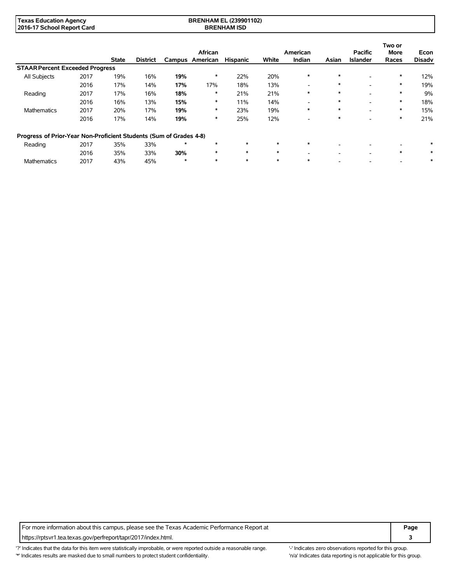| ' Texas ∟<br><i>E</i> ducation Agency | <b>BRENHAM EL (239901102)</b><br>the contract of the contract of the contract of the contract of the contract of the contract of the contract of |  |
|---------------------------------------|--------------------------------------------------------------------------------------------------------------------------------------------------|--|
| 2016-17 School Report Card            | <b>BRENHAM ISD</b>                                                                                                                               |  |

|                                                                    |      |              |                 |         | African         |                 |        | American                 |        | <b>Pacific</b>           | Two or<br><b>More</b> | Econ          |
|--------------------------------------------------------------------|------|--------------|-----------------|---------|-----------------|-----------------|--------|--------------------------|--------|--------------------------|-----------------------|---------------|
|                                                                    |      | <b>State</b> | <b>District</b> |         | Campus American | <b>Hispanic</b> | White  | Indian                   | Asian  | <b>Islander</b>          | Races                 | <b>Disadv</b> |
| <b>STAAR Percent Exceeded Progress</b>                             |      |              |                 |         |                 |                 |        |                          |        |                          |                       |               |
| All Subjects                                                       | 2017 | 19%          | 16%             | 19%     | ∗               | 22%             | 20%    | $\ast$                   | $\ast$ |                          | $\ast$                | 12%           |
|                                                                    | 2016 | 17%          | 14%             | 17%     | 17%             | 18%             | 13%    | $\overline{\phantom{a}}$ | $\ast$ | -                        | $\ast$                | 19%           |
| Reading                                                            | 2017 | 17%          | 16%             | 18%     | ∗               | 21%             | 21%    | $\ast$                   | $\ast$ | -                        | $\ast$                | 9%            |
|                                                                    | 2016 | 16%          | 13%             | 15%     | ∗               | 11%             | 14%    | $\overline{\phantom{0}}$ | $\ast$ | -                        | $\ast$                | 18%           |
| <b>Mathematics</b>                                                 | 2017 | 20%          | 17%             | 19%     | $\ast$          | 23%             | 19%    | $\ast$                   | $\ast$ | $\overline{\phantom{a}}$ | $\ast$                | 15%           |
|                                                                    | 2016 | 17%          | 14%             | 19%     | ∗               | 25%             | 12%    | -                        | *      | -                        | $\ast$                | 21%           |
| Progress of Prior-Year Non-Proficient Students (Sum of Grades 4-8) |      |              |                 |         |                 |                 |        |                          |        |                          |                       |               |
| Reading                                                            | 2017 | 35%          | 33%             | $\star$ |                 | $\ast$          | $\ast$ | $\ast$                   |        |                          |                       | $\ast$        |
|                                                                    | 2016 | 35%          | 33%             | 30%     |                 | $\ast$          | $\ast$ | -                        |        | -                        | $\ast$                | ∗             |
| <b>Mathematics</b>                                                 | 2017 | 43%          | 45%             | $\ast$  |                 | $\ast$          | $\ast$ | $\ast$                   |        |                          |                       | $\ast$        |

For more information about this campus, please see the Texas Academic Performance Report at **Page Page** https://rptsvr1.tea.texas.gov/perfreport/tapr/2017/index.html. **3**

'?' Indicates that the data for this item were statistically improbable, or were reported outside a reasonable range. "Indicates zero observations reported for this group. '\*' Indicates results are masked due to small numbers to protect student confidentiality. 'n/a' Indicates data reporting is not applicable for this group.